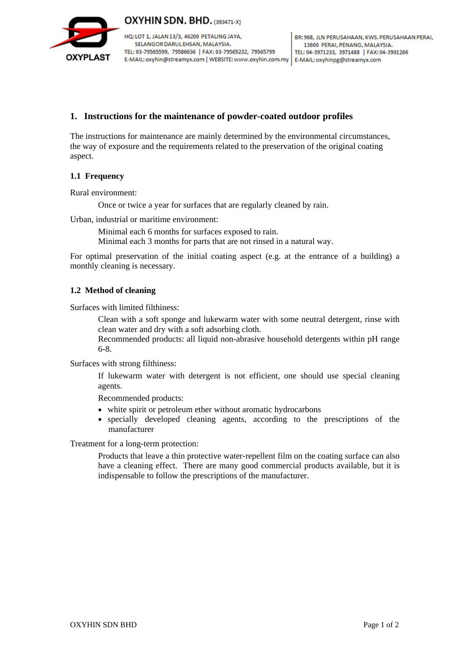

OXYHIN SDN. BHD. (393471-X)

HQ: LOT 1, JALAN 13/3, 46200 PETALING JAYA, SELANGOR DARUL EHSAN, MALAYSIA. TEL: 03-79565599, 79586636 | FAX: 03-79565232, 79565799 E-MAIL: oxyhin@streamyx.com | WEBSITE: www.oxyhin.com.my | E-MAIL: oxyhinpg@streamyx.com

# **1. Instructions for the maintenance of powder-coated outdoor profiles**

The instructions for maintenance are mainly determined by the environmental circumstances, the way of exposure and the requirements related to the preservation of the original coating aspect.

## **1.1 Frequency**

Rural environment:

Once or twice a year for surfaces that are regularly cleaned by rain.

Urban, industrial or maritime environment:

Minimal each 6 months for surfaces exposed to rain.

Minimal each 3 months for parts that are not rinsed in a natural way.

For optimal preservation of the initial coating aspect (e.g. at the entrance of a building) a monthly cleaning is necessary.

## **1.2 Method of cleaning**

Surfaces with limited filthiness:

Clean with a soft sponge and lukewarm water with some neutral detergent, rinse with clean water and dry with a soft adsorbing cloth.

Recommended products: all liquid non-abrasive household detergents within pH range 6-8.

Surfaces with strong filthiness:

If lukewarm water with detergent is not efficient, one should use special cleaning agents.

Recommended products:

- white spirit or petroleum ether without aromatic hydrocarbons
- specially developed cleaning agents, according to the prescriptions of the manufacturer

Treatment for a long-term protection:

Products that leave a thin protective water-repellent film on the coating surface can also have a cleaning effect. There are many good commercial products available, but it is indispensable to follow the prescriptions of the manufacturer.